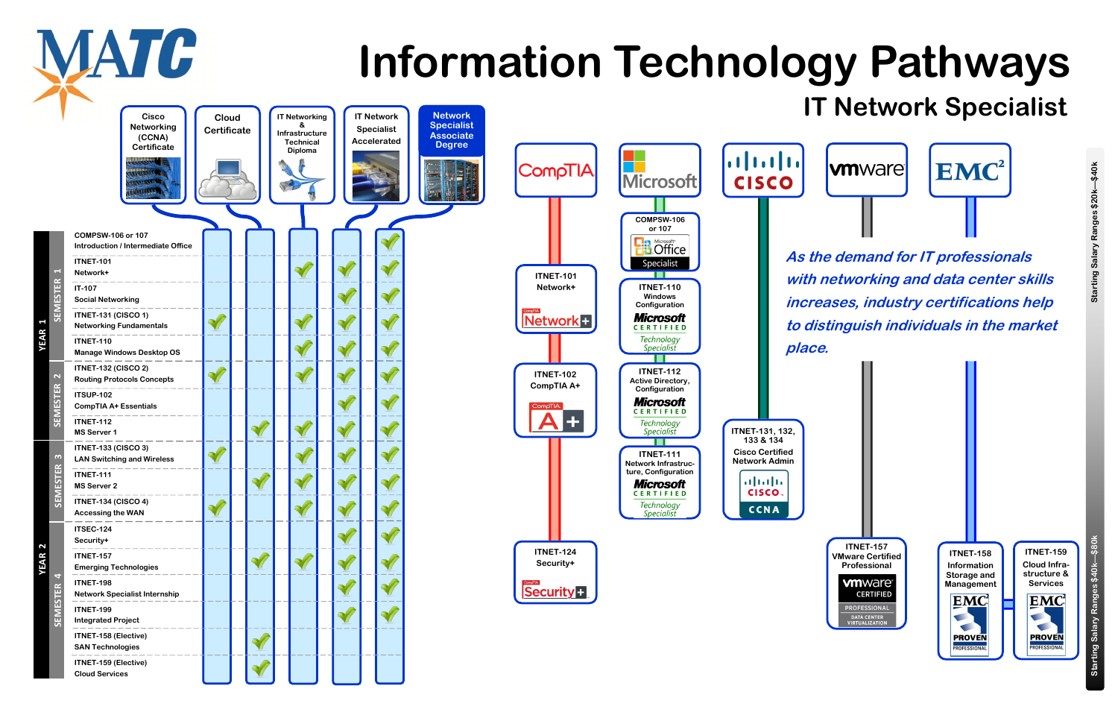## **IT Network Specialist Information Technology Pathways Network**



WATC

**Starting Salary Ranges \$40k**

**—\$80k Starting Salary Ranges \$20k —\$40k**